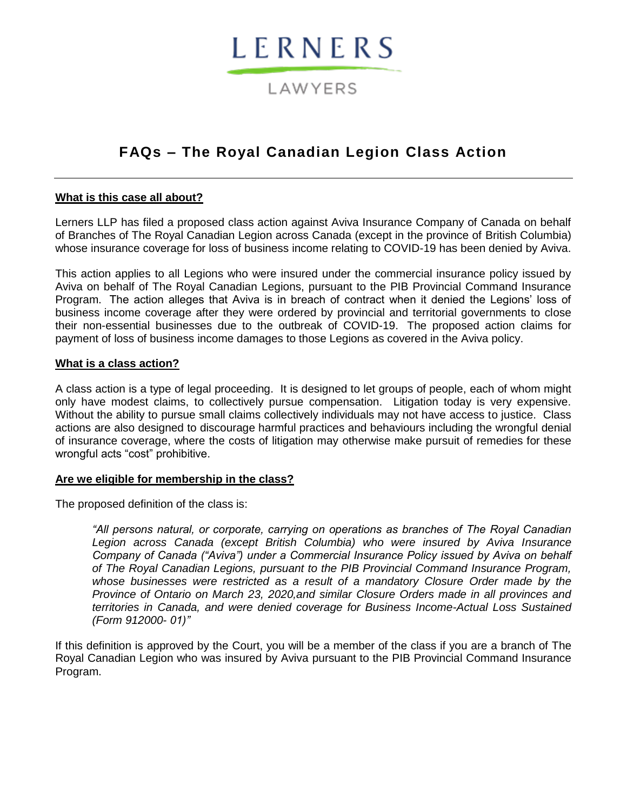# LERNERS

## LAWYERS

## **FAQs – The Royal Canadian Legion Class Action**

#### **What is this case all about?**

Lerners LLP has filed a proposed class action against Aviva Insurance Company of Canada on behalf of Branches of The Royal Canadian Legion across Canada (except in the province of British Columbia) whose insurance coverage for loss of business income relating to COVID-19 has been denied by Aviva.

This action applies to all Legions who were insured under the commercial insurance policy issued by Aviva on behalf of The Royal Canadian Legions, pursuant to the PIB Provincial Command Insurance Program. The action alleges that Aviva is in breach of contract when it denied the Legions' loss of business income coverage after they were ordered by provincial and territorial governments to close their non-essential businesses due to the outbreak of COVID-19. The proposed action claims for payment of loss of business income damages to those Legions as covered in the Aviva policy.

#### **What is a class action?**

A class action is a type of legal proceeding. It is designed to let groups of people, each of whom might only have modest claims, to collectively pursue compensation. Litigation today is very expensive. Without the ability to pursue small claims collectively individuals may not have access to justice. Class actions are also designed to discourage harmful practices and behaviours including the wrongful denial of insurance coverage, where the costs of litigation may otherwise make pursuit of remedies for these wrongful acts "cost" prohibitive.

#### **Are we eligible for membership in the class?**

The proposed definition of the class is:

*"All persons natural, or corporate, carrying on operations as branches of The Royal Canadian Legion across Canada (except British Columbia) who were insured by Aviva Insurance Company of Canada ("Aviva") under a Commercial Insurance Policy issued by Aviva on behalf of The Royal Canadian Legions, pursuant to the PIB Provincial Command Insurance Program, whose businesses were restricted as a result of a mandatory Closure Order made by the Province of Ontario on March 23, 2020,and similar Closure Orders made in all provinces and territories in Canada, and were denied coverage for Business Income-Actual Loss Sustained (Form 912000- 01)"*

If this definition is approved by the Court, you will be a member of the class if you are a branch of The Royal Canadian Legion who was insured by Aviva pursuant to the PIB Provincial Command Insurance Program.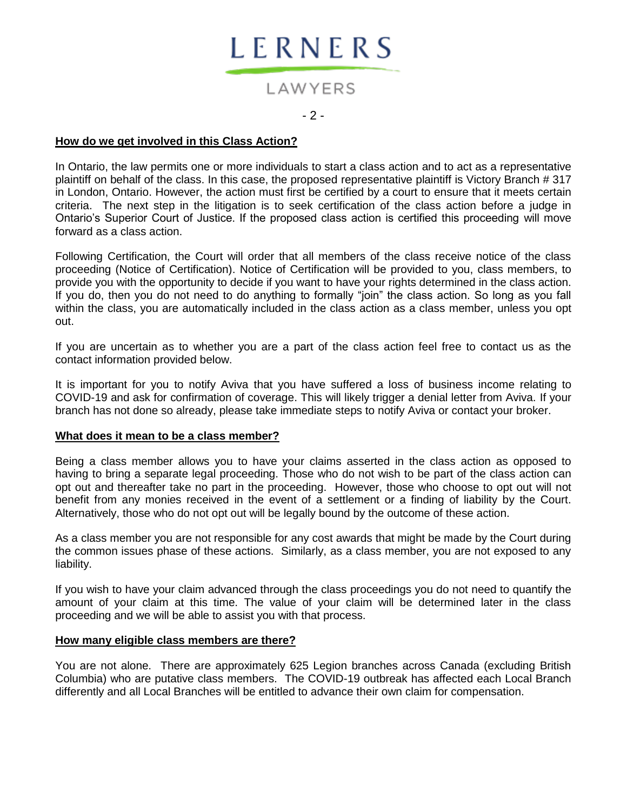

## LAWYERS

#### $-2-$

#### **How do we get involved in this Class Action?**

In Ontario, the law permits one or more individuals to start a class action and to act as a representative plaintiff on behalf of the class. In this case, the proposed representative plaintiff is Victory Branch # 317 in London, Ontario. However, the action must first be certified by a court to ensure that it meets certain criteria. The next step in the litigation is to seek certification of the class action before a judge in Ontario's Superior Court of Justice. If the proposed class action is certified this proceeding will move forward as a class action.

Following Certification, the Court will order that all members of the class receive notice of the class proceeding (Notice of Certification). Notice of Certification will be provided to you, class members, to provide you with the opportunity to decide if you want to have your rights determined in the class action. If you do, then you do not need to do anything to formally "join" the class action. So long as you fall within the class, you are automatically included in the class action as a class member, unless you opt out.

If you are uncertain as to whether you are a part of the class action feel free to contact us as the contact information provided below.

It is important for you to notify Aviva that you have suffered a loss of business income relating to COVID-19 and ask for confirmation of coverage. This will likely trigger a denial letter from Aviva. If your branch has not done so already, please take immediate steps to notify Aviva or contact your broker.

#### **What does it mean to be a class member?**

Being a class member allows you to have your claims asserted in the class action as opposed to having to bring a separate legal proceeding. Those who do not wish to be part of the class action can opt out and thereafter take no part in the proceeding. However, those who choose to opt out will not benefit from any monies received in the event of a settlement or a finding of liability by the Court. Alternatively, those who do not opt out will be legally bound by the outcome of these action.

As a class member you are not responsible for any cost awards that might be made by the Court during the common issues phase of these actions. Similarly, as a class member, you are not exposed to any liability.

If you wish to have your claim advanced through the class proceedings you do not need to quantify the amount of your claim at this time. The value of your claim will be determined later in the class proceeding and we will be able to assist you with that process.

#### **How many eligible class members are there?**

You are not alone. There are approximately 625 Legion branches across Canada (excluding British Columbia) who are putative class members. The COVID-19 outbreak has affected each Local Branch differently and all Local Branches will be entitled to advance their own claim for compensation.